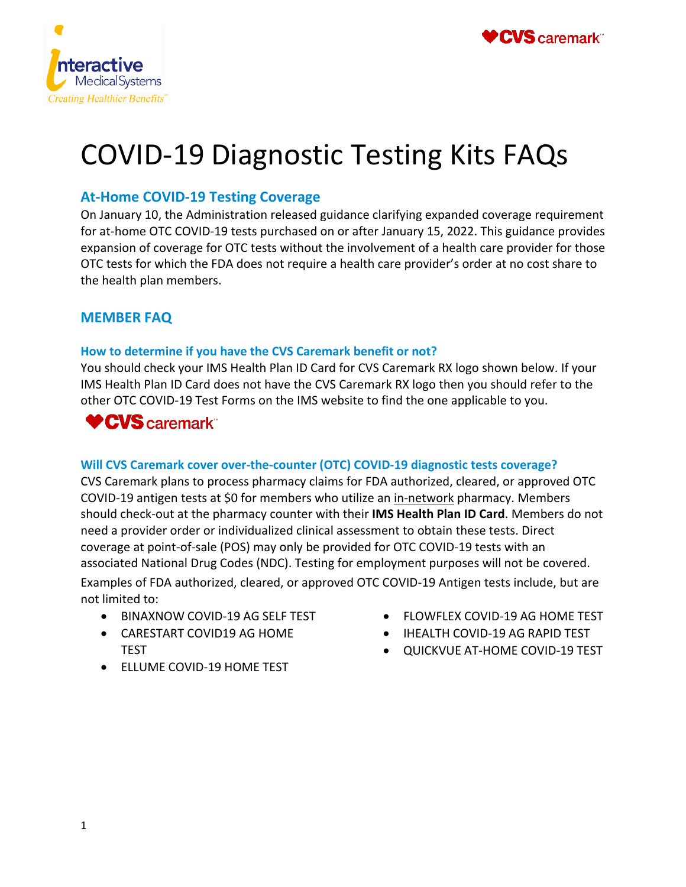



# COVID-19 Diagnostic Testing Kits FAQs

# **At-Home COVID-19 Testing Coverage**

On January 10, the Administration released guidance clarifying expanded coverage requirement for at-home OTC COVID-19 tests purchased on or after January 15, 2022. This guidance provides expansion of coverage for OTC tests without the involvement of a health care provider for those OTC tests for which the FDA does not require a health care provider's order at no cost share to the health plan members.

## **MEMBER FAQ**

#### **How to determine if you have the CVS Caremark benefit or not?**

You should check your IMS Health Plan ID Card for CVS Caremark RX logo shown below. If your IMS Health Plan ID Card does not have the CVS Caremark RX logo then you should refer to the other OTC COVID-19 Test Forms on the IMS website to find the one applicable to you.

# **♥CVS** caremark®

### **Will CVS Caremark cover over-the-counter (OTC) COVID-19 diagnostic tests coverage?**

CVS Caremark plans to process pharmacy claims for FDA authorized, cleared, or approved OTC COVID-19 antigen tests at \$0 for members who utilize an in-network pharmacy. Members should check-out at the pharmacy counter with their **IMS Health Plan ID Card**. Members do not need a provider order or individualized clinical assessment to obtain these tests. Direct coverage at point-of-sale (POS) may only be provided for OTC COVID-19 tests with an associated National Drug Codes (NDC). Testing for employment purposes will not be covered. Examples of FDA authorized, cleared, or approved OTC COVID-19 Antigen tests include, but are not limited to:

- BINAXNOW COVID-19 AG SELF TEST
- CARESTART COVID19 AG HOME TEST
- ELLUME COVID-19 HOME TEST
- FLOWFLEX COVID-19 AG HOME TEST
- IHEALTH COVID-19 AG RAPID TEST
- QUICKVUE AT-HOME COVID-19 TEST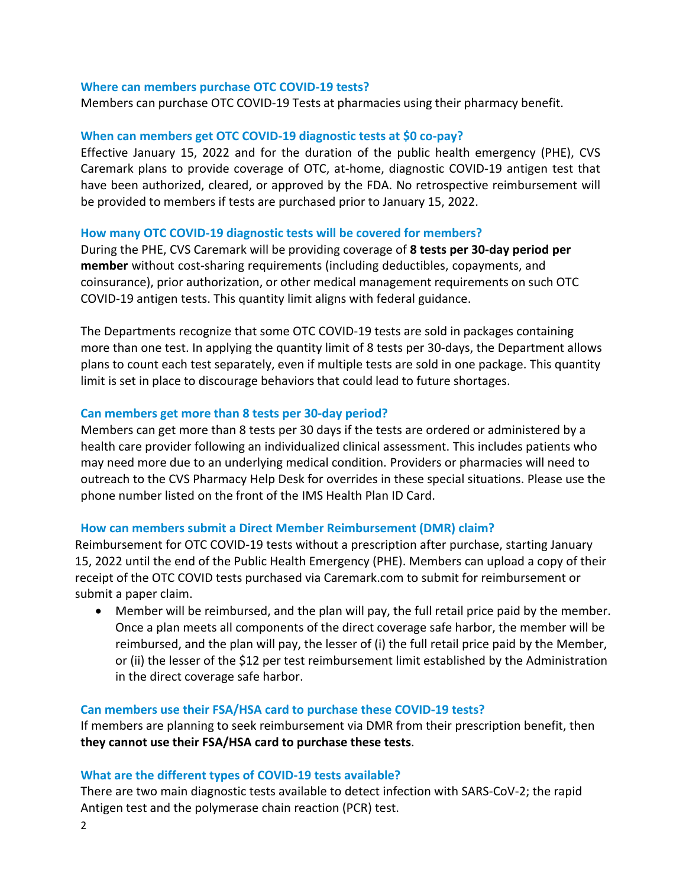#### **Where can members purchase OTC COVID-19 tests?**

Members can purchase OTC COVID-19 Tests at pharmacies using their pharmacy benefit.

#### **When can members get OTC COVID-19 diagnostic tests at \$0 co-pay?**

Effective January 15, 2022 and for the duration of the public health emergency (PHE), CVS Caremark plans to provide coverage of OTC, at-home, diagnostic COVID-19 antigen test that have been authorized, cleared, or approved by the FDA. No retrospective reimbursement will be provided to members if tests are purchased prior to January 15, 2022.

#### **How many OTC COVID-19 diagnostic tests will be covered for members?**

During the PHE, CVS Caremark will be providing coverage of **8 tests per 30-day period per member** without cost-sharing requirements (including deductibles, copayments, and coinsurance), prior authorization, or other medical management requirements on such OTC COVID-19 antigen tests. This quantity limit aligns with federal guidance.

The Departments recognize that some OTC COVID-19 tests are sold in packages containing more than one test. In applying the quantity limit of 8 tests per 30-days, the Department allows plans to count each test separately, even if multiple tests are sold in one package. This quantity limit is set in place to discourage behaviors that could lead to future shortages.

#### **Can members get more than 8 tests per 30-day period?**

Members can get more than 8 tests per 30 days if the tests are ordered or administered by a health care provider following an individualized clinical assessment. This includes patients who may need more due to an underlying medical condition. Providers or pharmacies will need to outreach to the CVS Pharmacy Help Desk for overrides in these special situations. Please use the phone number listed on the front of the IMS Health Plan ID Card.

#### **How can members submit a Direct Member Reimbursement (DMR) claim?**

Reimbursement for OTC COVID-19 tests without a prescription after purchase, starting January 15, 2022 until the end of the Public Health Emergency (PHE). Members can upload a copy of their receipt of the OTC COVID tests purchased via Caremark.com to submit for reimbursement or submit a paper claim.

• Member will be reimbursed, and the plan will pay, the full retail price paid by the member. Once a plan meets all components of the direct coverage safe harbor, the member will be reimbursed, and the plan will pay, the lesser of (i) the full retail price paid by the Member, or (ii) the lesser of the \$12 per test reimbursement limit established by the Administration in the direct coverage safe harbor.

#### **Can members use their FSA/HSA card to purchase these COVID-19 tests?**

If members are planning to seek reimbursement via DMR from their prescription benefit, then **they cannot use their FSA/HSA card to purchase these tests**.

#### **What are the different types of COVID-19 tests available?**

There are two main diagnostic tests available to detect infection with SARS-CoV-2; the rapid Antigen test and the polymerase chain reaction (PCR) test.